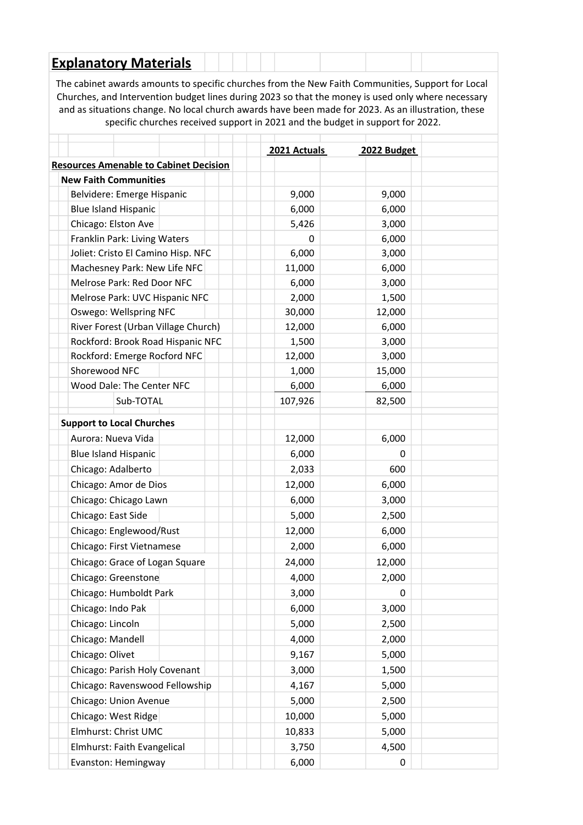## **Explanatory Materials**

The cabinet awards amounts to specific churches from the New Faith Communities, Support for Local Churches, and Intervention budget lines during 2023 so that the money is used only where necessary and as situations change. No local church awards have been made for 2023. As an illustration, these specific churches received support in 2021 and the budget in support for 2022.

|                                               | 2021 Actuals | 2022 Budget |  |
|-----------------------------------------------|--------------|-------------|--|
| <b>Resources Amenable to Cabinet Decision</b> |              |             |  |
| <b>New Faith Communities</b>                  |              |             |  |
| Belvidere: Emerge Hispanic                    | 9,000        | 9,000       |  |
| <b>Blue Island Hispanic</b>                   | 6,000        | 6,000       |  |
| Chicago: Elston Ave                           | 5,426        | 3,000       |  |
| Franklin Park: Living Waters                  | 0            | 6,000       |  |
| Joliet: Cristo El Camino Hisp. NFC            | 6,000        | 3,000       |  |
| Machesney Park: New Life NFC                  | 11,000       | 6,000       |  |
| Melrose Park: Red Door NFC                    | 6,000        | 3,000       |  |
| Melrose Park: UVC Hispanic NFC                | 2,000        | 1,500       |  |
| Oswego: Wellspring NFC                        | 30,000       | 12,000      |  |
| River Forest (Urban Village Church)           | 12,000       | 6,000       |  |
| Rockford: Brook Road Hispanic NFC             | 1,500        | 3,000       |  |
| Rockford: Emerge Rocford NFC                  | 12,000       | 3,000       |  |
| Shorewood NFC                                 | 1,000        | 15,000      |  |
| Wood Dale: The Center NFC                     | 6,000        | 6,000       |  |
| Sub-TOTAL                                     | 107,926      | 82,500      |  |
| <b>Support to Local Churches</b>              |              |             |  |
| Aurora: Nueva Vida                            | 12,000       | 6,000       |  |
| <b>Blue Island Hispanic</b>                   | 6,000        | 0           |  |
| Chicago: Adalberto                            | 2,033        | 600         |  |
| Chicago: Amor de Dios                         | 12,000       | 6,000       |  |
| Chicago: Chicago Lawn                         | 6,000        | 3,000       |  |
| Chicago: East Side                            | 5,000        | 2,500       |  |
| Chicago: Englewood/Rust                       | 12,000       | 6,000       |  |
| Chicago: First Vietnamese                     | 2,000        | 6,000       |  |
| Chicago: Grace of Logan Square                | 24,000       | 12,000      |  |
| Chicago: Greenstone                           | 4,000        | 2,000       |  |
| Chicago: Humboldt Park                        | 3,000        | 0           |  |
| Chicago: Indo Pak                             | 6,000        | 3,000       |  |
| Chicago: Lincoln                              | 5,000        | 2,500       |  |
| Chicago: Mandell                              | 4,000        | 2,000       |  |
| Chicago: Olivet                               | 9,167        | 5,000       |  |
| Chicago: Parish Holy Covenant                 | 3,000        | 1,500       |  |
| Chicago: Ravenswood Fellowship                | 4,167        | 5,000       |  |
| Chicago: Union Avenue                         | 5,000        | 2,500       |  |
| Chicago: West Ridge                           | 10,000       | 5,000       |  |
| Elmhurst: Christ UMC                          | 10,833       | 5,000       |  |
| Elmhurst: Faith Evangelical                   | 3,750        | 4,500       |  |
| Evanston: Hemingway                           | 6,000        | 0           |  |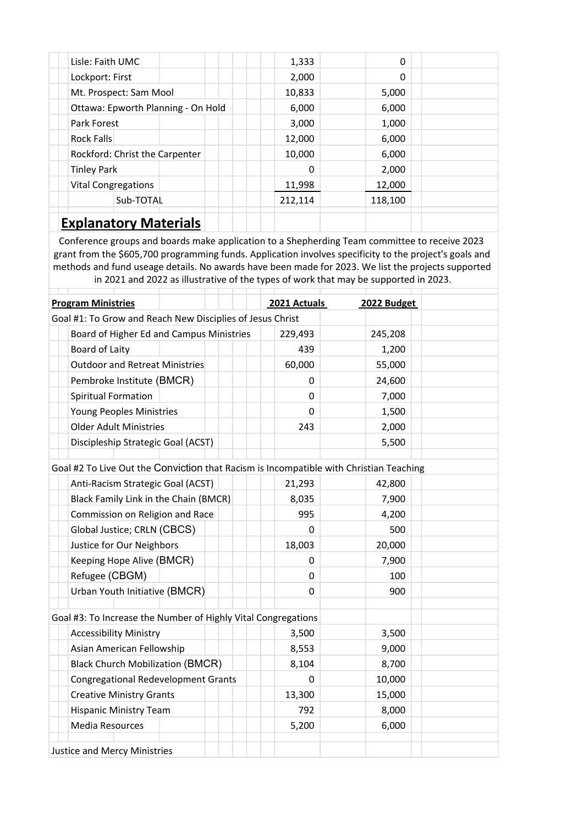| Lisle: Faith UMC                   | 1,333   | $\Omega$ |  |  |  |  |
|------------------------------------|---------|----------|--|--|--|--|
| Lockport: First                    | 2,000   | $\Omega$ |  |  |  |  |
| Mt. Prospect: Sam Mool             | 10,833  | 5,000    |  |  |  |  |
| Ottawa: Epworth Planning - On Hold | 6,000   | 6,000    |  |  |  |  |
| Park Forest                        | 3,000   | 1,000    |  |  |  |  |
| Rock Falls                         | 12,000  | 6,000    |  |  |  |  |
| Rockford: Christ the Carpenter     | 10,000  | 6,000    |  |  |  |  |
| <b>Tinley Park</b>                 | 0       | 2,000    |  |  |  |  |
| <b>Vital Congregations</b>         | 11,998  | 12,000   |  |  |  |  |
| Sub-TOTAL                          | 212,114 | 118,100  |  |  |  |  |
| <b>Explanatory Materials</b>       |         |          |  |  |  |  |

Conference groups and boards make application to a Shepherding Team committee to receive 2023 grant from the \$605,700 programming funds. Application involves specificity to the project's goals and methods and fund useage details. No awards have been made for 2023. We list the projects supported in 2021 and 2022 as illustrative of the types of work that may be supported in 2023.

| <b>Program Ministries</b>                                                              | 2021 Actuals | 2022 Budget |  |  |  |  |
|----------------------------------------------------------------------------------------|--------------|-------------|--|--|--|--|
| Goal #1: To Grow and Reach New Disciplies of Jesus Christ                              |              |             |  |  |  |  |
| Board of Higher Ed and Campus Ministries                                               | 229,493      | 245,208     |  |  |  |  |
| Board of Laity                                                                         | 439          | 1,200       |  |  |  |  |
| Outdoor and Retreat Ministries                                                         | 60,000       | 55,000      |  |  |  |  |
| Pembroke Institute (BMCR)                                                              | 0            | 24,600      |  |  |  |  |
| <b>Spiritual Formation</b>                                                             | 0            | 7,000       |  |  |  |  |
| Young Peoples Ministries                                                               | 0            | 1,500       |  |  |  |  |
| <b>Older Adult Ministries</b>                                                          | 243          | 2,000       |  |  |  |  |
| Discipleship Strategic Goal (ACST)                                                     |              | 5,500       |  |  |  |  |
|                                                                                        |              |             |  |  |  |  |
| Goal #2 To Live Out the Conviction that Racism is Incompatible with Christian Teaching |              |             |  |  |  |  |
| Anti-Racism Strategic Goal (ACST)                                                      | 21,293       | 42,800      |  |  |  |  |
| Black Family Link in the Chain (BMCR)                                                  | 8,035        | 7,900       |  |  |  |  |
| Commission on Religion and Race                                                        | 995          | 4,200       |  |  |  |  |
| Global Justice; CRLN (CBCS)                                                            | 0            | 500         |  |  |  |  |
| Justice for Our Neighbors                                                              | 18,003       | 20,000      |  |  |  |  |
| Keeping Hope Alive (BMCR)                                                              | 0            | 7,900       |  |  |  |  |
| Refugee (CBGM)                                                                         | 0            | 100         |  |  |  |  |
| Urban Youth Initiative (BMCR)                                                          | 0            | 900         |  |  |  |  |
|                                                                                        |              |             |  |  |  |  |
| Goal #3: To Increase the Number of Highly Vital Congregations                          |              |             |  |  |  |  |
| <b>Accessibility Ministry</b>                                                          | 3,500        | 3,500       |  |  |  |  |
| Asian American Fellowship                                                              | 8,553        | 9,000       |  |  |  |  |
| <b>Black Church Mobilization (BMCR)</b>                                                | 8,104        | 8,700       |  |  |  |  |
| <b>Congregational Redevelopment Grants</b>                                             | 0            | 10,000      |  |  |  |  |
| <b>Creative Ministry Grants</b>                                                        | 13,300       | 15,000      |  |  |  |  |
| <b>Hispanic Ministry Team</b>                                                          | 792          | 8,000       |  |  |  |  |
| <b>Media Resources</b>                                                                 | 5,200        | 6,000       |  |  |  |  |
| <b>Justice and Mercy Ministries</b>                                                    |              |             |  |  |  |  |